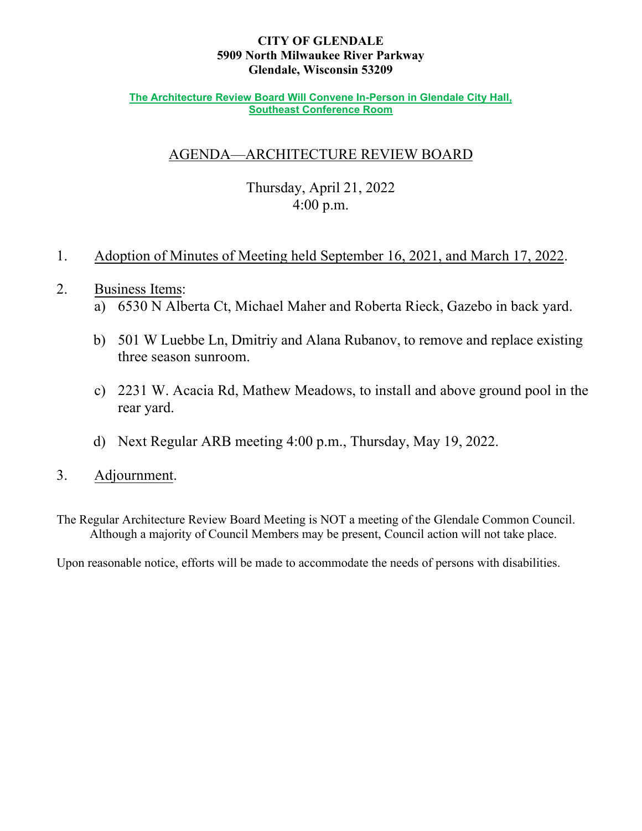## **CITY OF GLENDALE 5909 North Milwaukee River Parkway Glendale, Wisconsin 53209**

#### **The Architecture Review Board Will Convene In-Person in Glendale City Hall, Southeast Conference Room**

# AGENDA—ARCHITECTURE REVIEW BOARD

# Thursday, April 21, 2022 4:00 p.m.

# 1. Adoption of Minutes of Meeting held September 16, 2021, and March 17, 2022.

# 2. Business Items:

- a) 6530 N Alberta [Ct, Michael Maher and Roberta Rieck,](#page-5-0) Gazebo in back yard.
- b) 501 W Luebbe Ln, Dmitriy and Alana Rubanov, [to remove and replace existing](#page-6-0) three season sunroom.
- c) 2231 W. Acacia Rd, [Mathew Meadows, to install and](#page-7-0) above ground pool in the rear yard.
- d) Next Regular ARB meeting 4:00 p.m., Thursday, May 19, 2022.
- 3. Adjournment.

The Regular Architecture Review Board Meeting is NOT a meeting of the Glendale Common Council. Although a majority of Council Members may be present, Council action will not take place.

Upon reasonable notice, efforts will be made to accommodate the needs of persons with disabilities.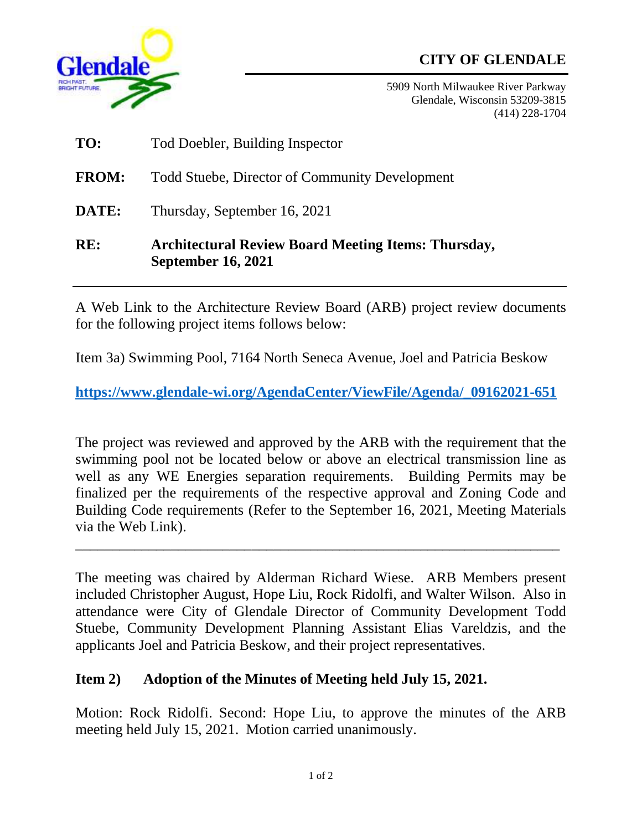# **CITY OF GLENDALE**



5909 North Milwaukee River Parkway Glendale, Wisconsin 53209-3815 (414) 228-1704

**TO:** Tod Doebler, Building Inspector **FROM:** Todd Stuebe, Director of Community Development **DATE:** Thursday, September 16, 2021 **RE: Architectural Review Board Meeting Items: Thursday, September 16, 2021**

A Web Link to the Architecture Review Board (ARB) project review documents for the following project items follows below:

Item 3a) Swimming Pool, 7164 North Seneca Avenue, Joel and Patricia Beskow

**[https://www.glendale-wi.org/AgendaCenter/ViewFile/Agenda/\\_09162021-651](https://www.glendale-wi.org/AgendaCenter/ViewFile/Agenda/_09162021-651)**

The project was reviewed and approved by the ARB with the requirement that the swimming pool not be located below or above an electrical transmission line as well as any WE Energies separation requirements. Building Permits may be finalized per the requirements of the respective approval and Zoning Code and Building Code requirements (Refer to the September 16, 2021, Meeting Materials via the Web Link).

 $\overline{a_1}$  ,  $\overline{a_2}$  ,  $\overline{a_3}$  ,  $\overline{a_4}$  ,  $\overline{a_5}$  ,  $\overline{a_6}$  ,  $\overline{a_7}$  ,  $\overline{a_8}$  ,  $\overline{a_9}$  ,  $\overline{a_9}$  ,  $\overline{a_9}$  ,  $\overline{a_9}$  ,  $\overline{a_9}$  ,  $\overline{a_9}$  ,  $\overline{a_9}$  ,  $\overline{a_9}$  ,  $\overline{a_9}$  ,

The meeting was chaired by Alderman Richard Wiese. ARB Members present included Christopher August, Hope Liu, Rock Ridolfi, and Walter Wilson. Also in attendance were City of Glendale Director of Community Development Todd Stuebe, Community Development Planning Assistant Elias Vareldzis, and the applicants Joel and Patricia Beskow, and their project representatives.

# **Item 2) Adoption of the Minutes of Meeting held July 15, 2021.**

Motion: Rock Ridolfi. Second: Hope Liu, to approve the minutes of the ARB meeting held July 15, 2021. Motion carried unanimously.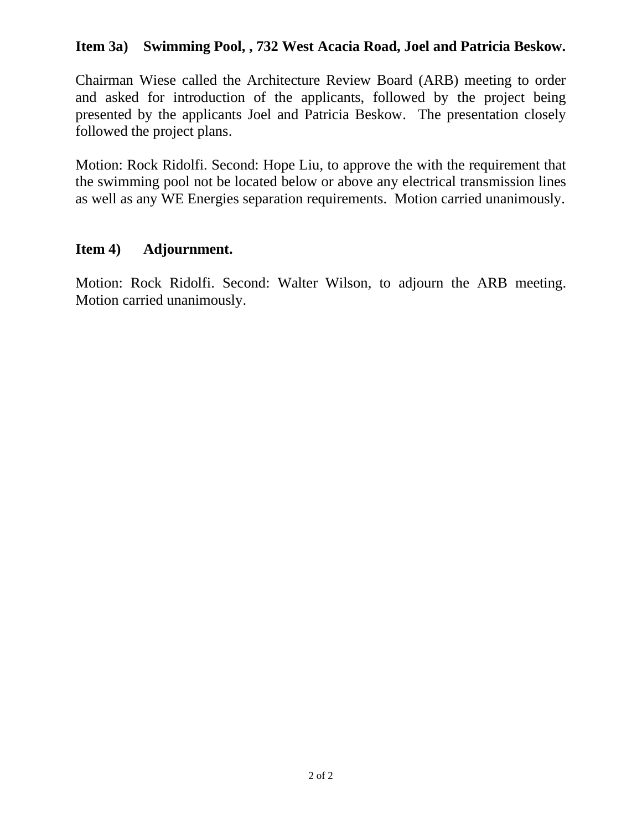# **Item 3a) Swimming Pool, , 732 West Acacia Road, Joel and Patricia Beskow.**

Chairman Wiese called the Architecture Review Board (ARB) meeting to order and asked for introduction of the applicants, followed by the project being presented by the applicants Joel and Patricia Beskow. The presentation closely followed the project plans.

Motion: Rock Ridolfi. Second: Hope Liu, to approve the with the requirement that the swimming pool not be located below or above any electrical transmission lines as well as any WE Energies separation requirements. Motion carried unanimously.

# **Item 4) Adjournment.**

Motion: Rock Ridolfi. Second: Walter Wilson, to adjourn the ARB meeting. Motion carried unanimously.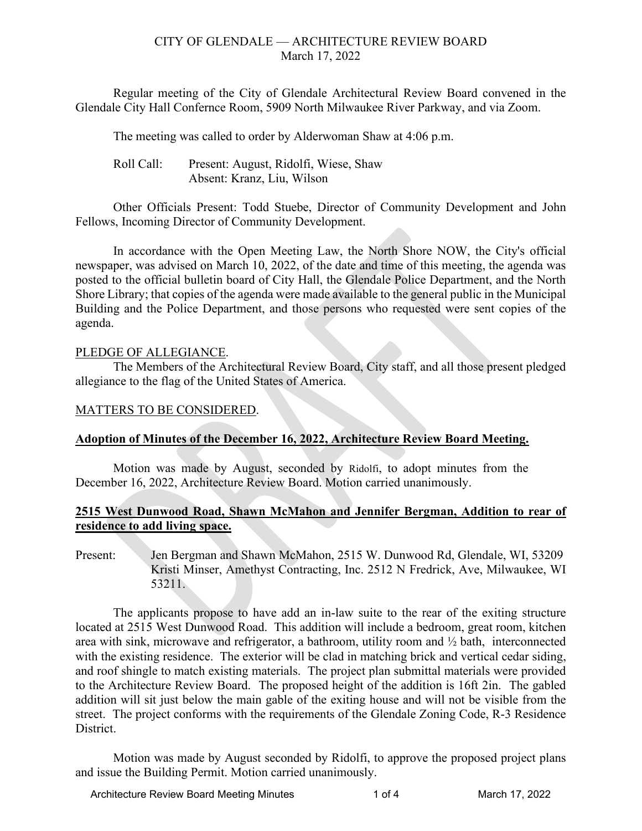# CITY OF GLENDALE — ARCHITECTURE REVIEW BOARD March 17, 2022

Regular meeting of the City of Glendale Architectural Review Board convened in the Glendale City Hall Confernce Room, 5909 North Milwaukee River Parkway, and via Zoom.

The meeting was called to order by Alderwoman Shaw at 4:06 p.m.

Roll Call: Present: August, Ridolfi, Wiese, Shaw Absent: Kranz, Liu, Wilson

Other Officials Present: Todd Stuebe, Director of Community Development and John Fellows, Incoming Director of Community Development.

In accordance with the Open Meeting Law, the North Shore NOW, the City's official newspaper, was advised on March 10, 2022, of the date and time of this meeting, the agenda was posted to the official bulletin board of City Hall, the Glendale Police Department, and the North Shore Library; that copies of the agenda were made available to the general public in the Municipal Building and the Police Department, and those persons who requested were sent copies of the agenda.

### PLEDGE OF ALLEGIANCE.

The Members of the Architectural Review Board, City staff, and all those present pledged allegiance to the flag of the United States of America.

## MATTERS TO BE CONSIDERED.

# **Adoption of Minutes of the December 16, 2022, Architecture Review Board Meeting.**

Motion was made by August, seconded by Ridolfi, to adopt minutes from the December 16, 2022, Architecture Review Board. Motion carried unanimously.

# **2515 West Dunwood Road, Shawn McMahon and Jennifer Bergman, Addition to rear of residence to add living space.**

Present: Jen Bergman and Shawn McMahon, 2515 W. Dunwood Rd, Glendale, WI, 53209 Kristi Minser, Amethyst Contracting, Inc. 2512 N Fredrick, Ave, Milwaukee, WI 53211.

The applicants propose to have add an in-law suite to the rear of the exiting structure located at 2515 West Dunwood Road. This addition will include a bedroom, great room, kitchen area with sink, microwave and refrigerator, a bathroom, utility room and  $\frac{1}{2}$  bath, interconnected with the existing residence. The exterior will be clad in matching brick and vertical cedar siding, and roof shingle to match existing materials. The project plan submittal materials were provided to the Architecture Review Board. The proposed height of the addition is 16ft 2in. The gabled addition will sit just below the main gable of the exiting house and will not be visible from the street. The project conforms with the requirements of the Glendale Zoning Code, R-3 Residence District.

Motion was made by August seconded by Ridolfi, to approve the proposed project plans and issue the Building Permit. Motion carried unanimously.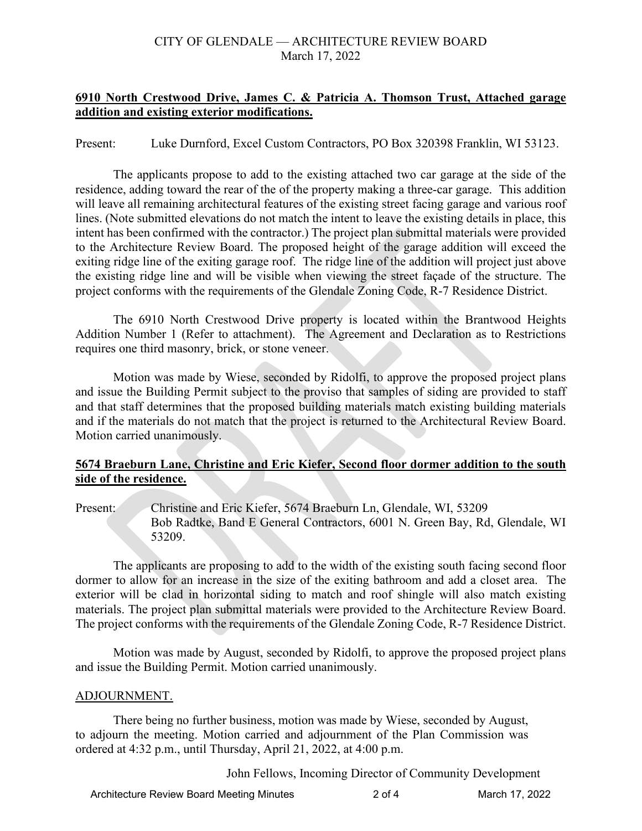## CITY OF GLENDALE — ARCHITECTURE REVIEW BOARD March 17, 2022

## **6910 North Crestwood Drive, James C. & Patricia A. Thomson Trust, Attached garage addition and existing exterior modifications.**

Present: Luke Durnford, Excel Custom Contractors, PO Box 320398 Franklin, WI 53123.

The applicants propose to add to the existing attached two car garage at the side of the residence, adding toward the rear of the of the property making a three-car garage. This addition will leave all remaining architectural features of the existing street facing garage and various roof lines. (Note submitted elevations do not match the intent to leave the existing details in place, this intent has been confirmed with the contractor.) The project plan submittal materials were provided to the Architecture Review Board. The proposed height of the garage addition will exceed the exiting ridge line of the exiting garage roof. The ridge line of the addition will project just above the existing ridge line and will be visible when viewing the street façade of the structure. The project conforms with the requirements of the Glendale Zoning Code, R-7 Residence District.

The 6910 North Crestwood Drive property is located within the Brantwood Heights Addition Number 1 (Refer to attachment). The Agreement and Declaration as to Restrictions requires one third masonry, brick, or stone veneer.

Motion was made by Wiese, seconded by Ridolfi, to approve the proposed project plans and issue the Building Permit subject to the proviso that samples of siding are provided to staff and that staff determines that the proposed building materials match existing building materials and if the materials do not match that the project is returned to the Architectural Review Board. Motion carried unanimously.

# **5674 Braeburn Lane, Christine and Eric Kiefer, Second floor dormer addition to the south side of the residence.**

Present: Christine and Eric Kiefer, 5674 Braeburn Ln, Glendale, WI, 53209 Bob Radtke, Band E General Contractors, 6001 N. Green Bay, Rd, Glendale, WI 53209.

The applicants are proposing to add to the width of the existing south facing second floor dormer to allow for an increase in the size of the exiting bathroom and add a closet area. The exterior will be clad in horizontal siding to match and roof shingle will also match existing materials. The project plan submittal materials were provided to the Architecture Review Board. The project conforms with the requirements of the Glendale Zoning Code, R-7 Residence District.

Motion was made by August, seconded by Ridolfi, to approve the proposed project plans and issue the Building Permit. Motion carried unanimously.

#### ADJOURNMENT.

There being no further business, motion was made by Wiese, seconded by August, to adjourn the meeting. Motion carried and adjournment of the Plan Commission was ordered at 4:32 p.m., until Thursday, April 21, 2022, at 4:00 p.m.

John Fellows, Incoming Director of Community Development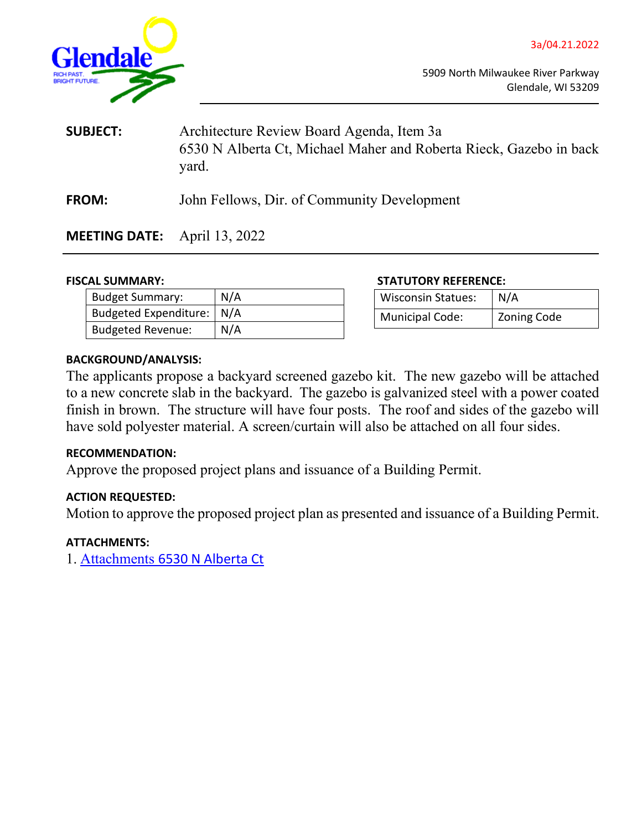

<span id="page-5-0"></span>

5909 North Milwaukee River Parkway Glendale, WI 53209

| <b>SUBJECT:</b> | Architecture Review Board Agenda, Item 3a<br>6530 N Alberta Ct, Michael Maher and Roberta Rieck, Gazebo in back<br>yard. |  |
|-----------------|--------------------------------------------------------------------------------------------------------------------------|--|
| <b>FROM:</b>    | John Fellows, Dir. of Community Development                                                                              |  |

**MEETING DATE:** April 13, 2022

| <b>Budget Summary:</b>      | N/A |
|-----------------------------|-----|
| Budgeted Expenditure:   N/A |     |
| <b>Budgeted Revenue:</b>    | N/A |

#### **FISCAL SUMMARY: STATUTORY REFERENCE:**

| <b>Wisconsin Statues:</b> | N/A                |
|---------------------------|--------------------|
| <b>Municipal Code:</b>    | <b>Zoning Code</b> |

#### **BACKGROUND/ANALYSIS:**

The applicants propose a backyard screened gazebo kit. The new gazebo will be attached to a new concrete slab in the backyard. The gazebo is galvanized steel with a power coated finish in brown. The structure will have four posts. The roof and sides of the gazebo will have sold polyester material. A screen/curtain will also be attached on all four sides.

#### **RECOMMENDATION:**

Approve the proposed project plans and issuance of a Building Permit.

# **ACTION REQUESTED:**

Motion to approve the proposed project plan as presented and issuance of a Building Permit.

#### **ATTACHMENTS:**

1. [Attachments](http://www.glendale-wi.org/DocumentCenter/View/2538/3a-Attachment-6530-N-Alberta-Ct----Gazebo) [6530 N Alberta Ct](http://www.glendale-wi.org/DocumentCenter/View/2538/3a-Attachment-6530-N-Alberta-Ct----Gazebo)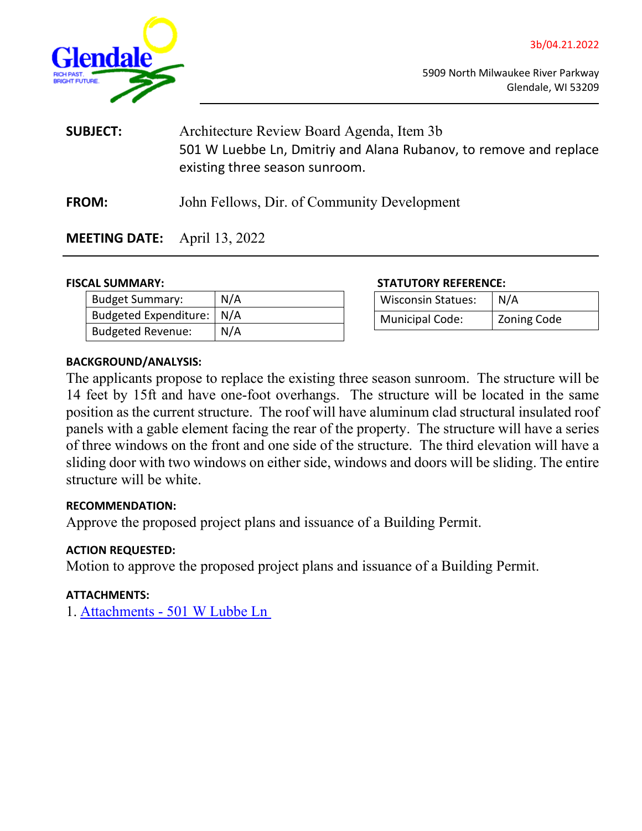

<span id="page-6-0"></span>

5909 North Milwaukee River Parkway Glendale, WI 53209

- **SUBJECT:** Architecture Review Board Agenda, Item 3b 501 W Luebbe Ln, Dmitriy and Alana Rubanov, to remove and replace existing three season sunroom.
- **FROM:** John Fellows, Dir. of Community Development

# **MEETING DATE:** April 13, 2022

| <b>Budget Summary:</b>      | N/A |
|-----------------------------|-----|
| Budgeted Expenditure:   N/A |     |
| Budgeted Revenue:           | N/A |

### **FISCAL SUMMARY: STATUTORY REFERENCE:**

| <b>Wisconsin Statues:</b> | N/A                |
|---------------------------|--------------------|
| <b>Municipal Code:</b>    | <b>Zoning Code</b> |

# **BACKGROUND/ANALYSIS:**

The applicants propose to replace the existing three season sunroom. The structure will be 14 feet by 15ft and have one-foot overhangs. The structure will be located in the same position as the current structure. The roof will have aluminum clad structural insulated roof panels with a gable element facing the rear of the property. The structure will have a series of three windows on the front and one side of the structure. The third elevation will have a sliding door with two windows on either side, windows and doors will be sliding. The entire structure will be white.

# **RECOMMENDATION:**

Approve the proposed project plans and issuance of a Building Permit.

# **ACTION REQUESTED:**

Motion to approve the proposed project plans and issuance of a Building Permit.

# **ATTACHMENTS:**

1. [Attachments -](http://www.glendale-wi.org/DocumentCenter/View/2539/3b-Attachment---501-W-Luebbe-Ln) [501 W Lubbe Ln](http://www.glendale-wi.org/DocumentCenter/View/2539/3b-Attachment---501-W-Luebbe-Ln)